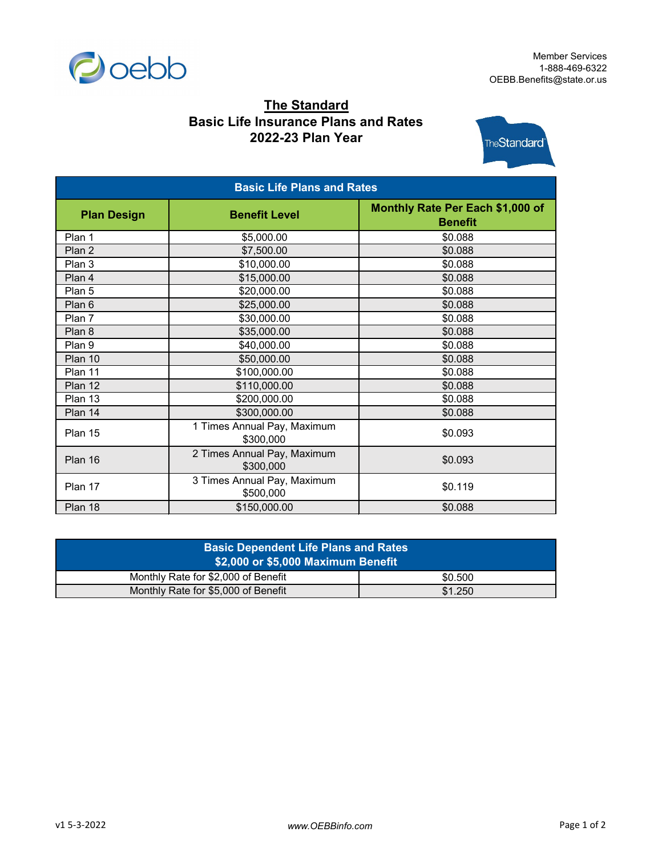

## **The Standard Basic Life Insurance Plans and Rates 2022-23 Plan Year**



| <b>Basic Life Plans and Rates</b> |                                          |                                                    |  |  |
|-----------------------------------|------------------------------------------|----------------------------------------------------|--|--|
| <b>Plan Design</b>                | <b>Benefit Level</b>                     | Monthly Rate Per Each \$1,000 of<br><b>Benefit</b> |  |  |
| Plan 1                            | \$5,000.00                               | \$0.088                                            |  |  |
| Plan 2                            | \$7,500.00                               | \$0.088                                            |  |  |
| Plan 3                            | \$10,000.00                              | \$0.088                                            |  |  |
| Plan 4                            | \$15,000.00                              | \$0.088                                            |  |  |
| Plan 5                            | \$20,000.00                              | \$0.088                                            |  |  |
| Plan 6                            | \$25,000.00                              | \$0.088                                            |  |  |
| Plan 7                            | \$30,000.00                              | \$0.088                                            |  |  |
| Plan 8                            | \$35,000.00                              | \$0.088                                            |  |  |
| Plan 9                            | \$40,000.00                              | \$0.088                                            |  |  |
| Plan 10                           | \$50,000.00                              | \$0.088                                            |  |  |
| Plan 11                           | \$100,000.00                             | \$0.088                                            |  |  |
| Plan 12                           | \$110,000.00                             | \$0.088                                            |  |  |
| Plan 13                           | \$200,000.00                             | \$0.088                                            |  |  |
| Plan 14                           | \$300,000.00                             | \$0.088                                            |  |  |
| Plan 15                           | 1 Times Annual Pay, Maximum<br>\$300,000 | \$0.093                                            |  |  |
| Plan 16                           | 2 Times Annual Pay, Maximum<br>\$300,000 | \$0.093                                            |  |  |
| Plan 17                           | 3 Times Annual Pay, Maximum<br>\$500,000 | \$0.119                                            |  |  |
| Plan 18                           | \$150,000.00                             | \$0.088                                            |  |  |

| <b>Basic Dependent Life Plans and Rates</b><br>\$2,000 or \$5,000 Maximum Benefit |         |  |  |  |
|-----------------------------------------------------------------------------------|---------|--|--|--|
| Monthly Rate for \$2,000 of Benefit                                               | \$0.500 |  |  |  |
| Monthly Rate for \$5,000 of Benefit                                               | \$1.250 |  |  |  |